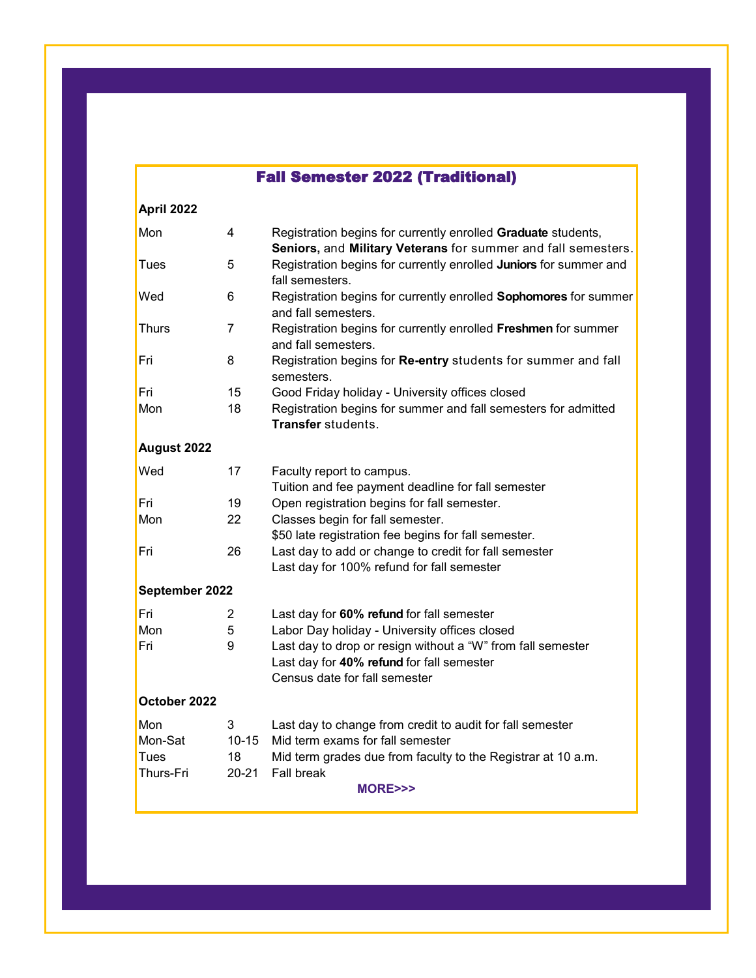## Fall Semester 2022 (Traditional)

| April 2022        |                 |                                                                                                     |  |  |  |
|-------------------|-----------------|-----------------------------------------------------------------------------------------------------|--|--|--|
| Mon               | 4               | Registration begins for currently enrolled Graduate students,                                       |  |  |  |
|                   |                 | Seniors, and Military Veterans for summer and fall semesters.                                       |  |  |  |
| Tues              | 5               | Registration begins for currently enrolled Juniors for summer and<br>fall semesters.                |  |  |  |
| Wed               | 6               | Registration begins for currently enrolled Sophomores for summer<br>and fall semesters.             |  |  |  |
| <b>Thurs</b>      | 7               | Registration begins for currently enrolled Freshmen for summer<br>and fall semesters.               |  |  |  |
| Fri               | 8               | Registration begins for Re-entry students for summer and fall<br>semesters.                         |  |  |  |
| Fri               | 15              | Good Friday holiday - University offices closed                                                     |  |  |  |
| Mon               | 18              | Registration begins for summer and fall semesters for admitted<br>Transfer students.                |  |  |  |
| August 2022       |                 |                                                                                                     |  |  |  |
| Wed               | 17              | Faculty report to campus.<br>Tuition and fee payment deadline for fall semester                     |  |  |  |
| Fri               | 19              | Open registration begins for fall semester.                                                         |  |  |  |
| Mon               | 22              | Classes begin for fall semester.                                                                    |  |  |  |
|                   |                 | \$50 late registration fee begins for fall semester.                                                |  |  |  |
| Fri               | 26              | Last day to add or change to credit for fall semester<br>Last day for 100% refund for fall semester |  |  |  |
| September 2022    |                 |                                                                                                     |  |  |  |
| Fri               | 2               | Last day for 60% refund for fall semester                                                           |  |  |  |
| Mon               | 5               | Labor Day holiday - University offices closed                                                       |  |  |  |
| Fri               | 9               | Last day to drop or resign without a "W" from fall semester                                         |  |  |  |
|                   |                 | Last day for 40% refund for fall semester<br>Census date for fall semester                          |  |  |  |
| October 2022      |                 |                                                                                                     |  |  |  |
| Mon               | 3               | Last day to change from credit to audit for fall semester                                           |  |  |  |
| Mon-Sat           | $10 - 15$       | Mid term exams for fall semester                                                                    |  |  |  |
| Tues<br>Thurs-Fri | 18<br>$20 - 21$ | Mid term grades due from faculty to the Registrar at 10 a.m.<br><b>Fall break</b>                   |  |  |  |
|                   |                 | <b>MORE&gt;&gt;&gt;</b>                                                                             |  |  |  |
|                   |                 |                                                                                                     |  |  |  |